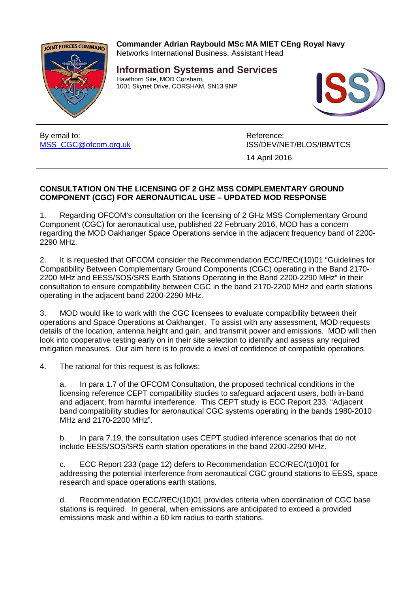

**Commander Adrian Raybould MSc MA MIET CEng Royal Navy** Networks International Business, Assistant Head

**Information Systems and Services** Hawthorn Site, MOD Corsham, 1001 Skynet Drive, CORSHAM, SN13 9NP



By email to: [MSS\\_CGC@ofcom.org.uk](mailto:MSS_CGC@ofcom.org.uk)

Reference: ISS/DEV/NET/BLOS/IBM/TCS

14 April 2016

## **CONSULTATION ON THE LICENSING OF 2 GHZ MSS COMPLEMENTARY GROUND COMPONENT (CGC) FOR AERONAUTICAL USE – UPDATED MOD RESPONSE**

1. Regarding OFCOM's consultation on the licensing of 2 GHz MSS Complementary Ground Component (CGC) for aeronautical use, published 22 February 2016, MOD has a concern regarding the MOD Oakhanger Space Operations service in the adjacent frequency band of 2200- 2290 MHz.

2. It is requested that OFCOM consider the Recommendation ECC/REC/(10)01 "Guidelines for Compatibility Between Complementary Ground Components (CGC) operating in the Band 2170- 2200 MHz and EESS/SOS/SRS Earth Stations Operating in the Band 2200-2290 MHz" in their consultation to ensure compatibility between CGC in the band 2170-2200 MHz and earth stations operating in the adjacent band 2200-2290 MHz.

3. MOD would like to work with the CGC licensees to evaluate compatibility between their operations and Space Operations at Oakhanger. To assist with any assessment, MOD requests details of the location, antenna height and gain, and transmit power and emissions. MOD will then look into cooperative testing early on in their site selection to identify and assess any required mitigation measures. Our aim here is to provide a level of confidence of compatible operations.

4. The rational for this request is as follows:

a. In para 1.7 of the OFCOM Consultation, the proposed technical conditions in the licensing reference CEPT compatibility studies to safeguard adjacent users, both in-band and adjacent, from harmful interference. This CEPT study is ECC Report 233, "Adjacent band compatibility studies for aeronautical CGC systems operating in the bands 1980-2010 MHz and 2170-2200 MHz".

b. In para 7.19, the consultation uses CEPT studied inference scenarios that do not include EESS/SOS/SRS earth station operations in the band 2200-2290 MHz.

c. ECC Report 233 (page 12) defers to Recommendation ECC/REC/(10)01 for addressing the potential interference from aeronautical CGC ground stations to EESS, space research and space operations earth stations.

d. Recommendation ECC/REC/(10)01 provides criteria when coordination of CGC base stations is required. In general, when emissions are anticipated to exceed a provided emissions mask and within a 60 km radius to earth stations.